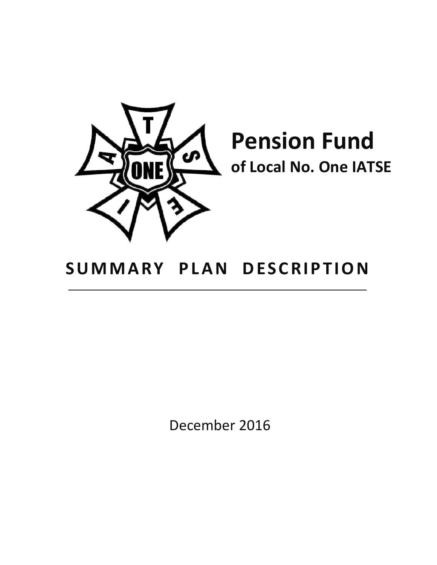

**Pension Fund of Local No. One IATSE**

# **SUMMARY PLAN DESCRIPTION**

December 2016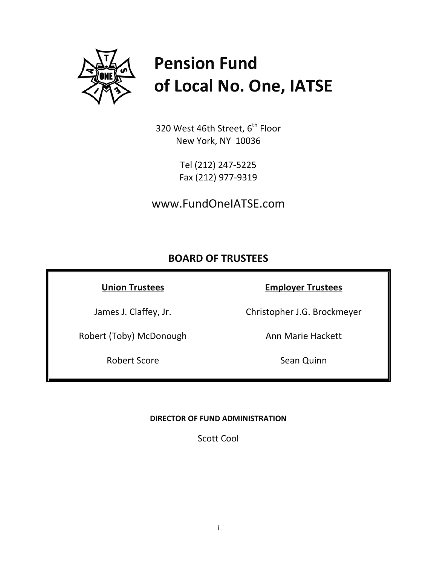

# **Pension Fund of Local No. One, IATSE**

320 West 46th Street, 6<sup>th</sup> Floor New York, NY 10036

> Tel (212) 247‐5225 Fax (212) 977‐9319

www.FundOneIATSE.com

## **BOARD OF TRUSTEES**

### **Union Trustees**

James J. Claffey, Jr.

Robert (Toby) McDonough

Robert Score

**Employer Trustees**

Christopher J.G. Brockmeyer

Ann Marie Hackett

Sean Quinn

**DIRECTOR OF FUND ADMINISTRATION**

Scott Cool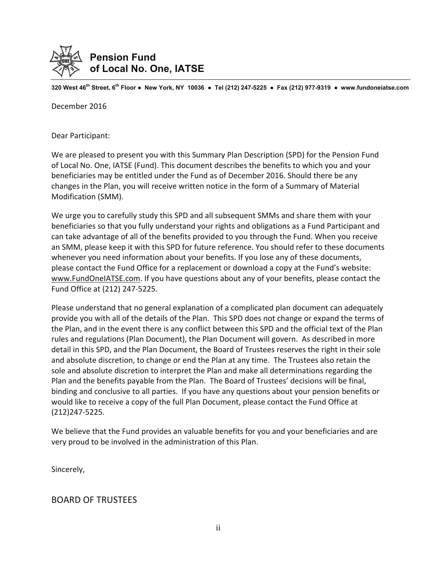

**320 West 46th Street, 6th Floor ● New York, NY 10036 ● Tel (212) 247-5225 ● Fax (212) 977-9319 ● www.fundoneiatse.com** 

December 2016

Dear Participant:

We are pleased to present you with this Summary Plan Description (SPD) for the Pension Fund of Local No. One, IATSE (Fund). This document describes the benefits to which you and your beneficiaries may be entitled under the Fund as of December 2016. Should there be any changes in the Plan, you will receive written notice in the form of a Summary of Material Modification (SMM).

We urge you to carefully study this SPD and all subsequent SMMs and share them with your beneficiaries so that you fully understand your rights and obligations as a Fund Participant and can take advantage of all of the benefits provided to you through the Fund. When you receive an SMM, please keep it with this SPD for future reference. You should refer to these documents whenever you need information about your benefits. If you lose any of these documents, please contact the Fund Office for a replacement or download a copy at the Fund's website: www.FundOneIATSE.com. If you have questions about any of your benefits, please contact the Fund Office at (212) 247‐5225.

Please understand that no general explanation of a complicated plan document can adequately provide you with all of the details of the Plan. This SPD does not change or expand the terms of the Plan, and in the event there is any conflict between this SPD and the official text of the Plan rules and regulations (Plan Document), the Plan Document will govern. As described in more detail in this SPD, and the Plan Document, the Board of Trustees reserves the right in their sole and absolute discretion, to change or end the Plan at any time. The Trustees also retain the sole and absolute discretion to interpret the Plan and make all determinations regarding the Plan and the benefits payable from the Plan. The Board of Trustees' decisions will be final, binding and conclusive to all parties. If you have any questions about your pension benefits or would like to receive a copy of the full Plan Document, please contact the Fund Office at (212)247‐5225.

We believe that the Fund provides an valuable benefits for you and your beneficiaries and are very proud to be involved in the administration of this Plan.

Sincerely,

#### BOARD OF TRUSTEES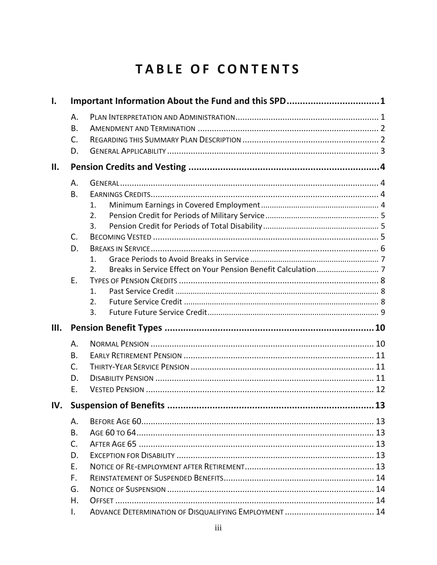# TABLE OF CONTENTS

| $\mathbf{l}$ . |                                                           | Important Information About the Fund and this SPD1 |  |
|----------------|-----------------------------------------------------------|----------------------------------------------------|--|
|                | Α.<br><b>B.</b><br>C.<br>D.                               |                                                    |  |
| II.            |                                                           |                                                    |  |
|                | Α.<br><b>B.</b><br>C.<br>D.<br>E.                         | 1.<br>2.<br>3.<br>$\mathbf{1}$ .<br>2.<br>1.       |  |
|                |                                                           | 2.<br>3.                                           |  |
| III.           |                                                           |                                                    |  |
|                | Α.<br><b>B.</b><br>C.<br>D.<br>E.                         |                                                    |  |
| IV.            |                                                           |                                                    |  |
|                | Α.<br><b>B.</b><br>C.<br>D.<br>Ε.<br>F.<br>G.<br>Η.<br>Τ. |                                                    |  |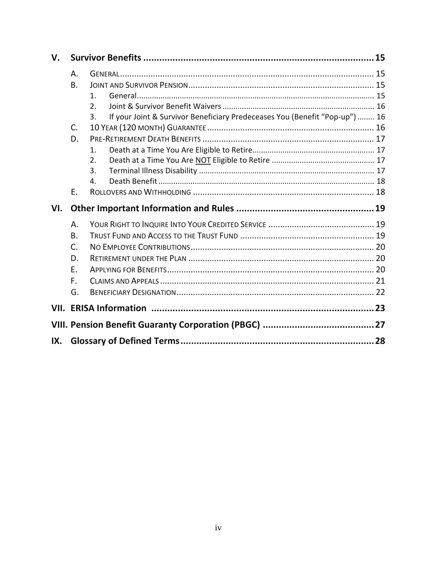| V.  |           |                                                                                   |  |
|-----|-----------|-----------------------------------------------------------------------------------|--|
|     | Α.        |                                                                                   |  |
|     | <b>B.</b> |                                                                                   |  |
|     |           | $\mathbf{1}$ .                                                                    |  |
|     |           | 2.                                                                                |  |
|     |           | If your Joint & Survivor Beneficiary Predeceases You (Benefit "Pop-up")  16<br>3. |  |
|     | C.        |                                                                                   |  |
|     | D.        |                                                                                   |  |
|     |           | $\mathbf 1$                                                                       |  |
|     |           | 2.                                                                                |  |
|     |           | 3.                                                                                |  |
|     |           | $\mathbf{4}$                                                                      |  |
|     | E.        |                                                                                   |  |
|     |           |                                                                                   |  |
| VI. |           |                                                                                   |  |
|     | Α.        |                                                                                   |  |
|     | B.        |                                                                                   |  |
|     | C.        |                                                                                   |  |
|     | D.        |                                                                                   |  |
|     | E.        |                                                                                   |  |
|     | F.        |                                                                                   |  |
|     | G.        |                                                                                   |  |
|     |           |                                                                                   |  |
|     |           |                                                                                   |  |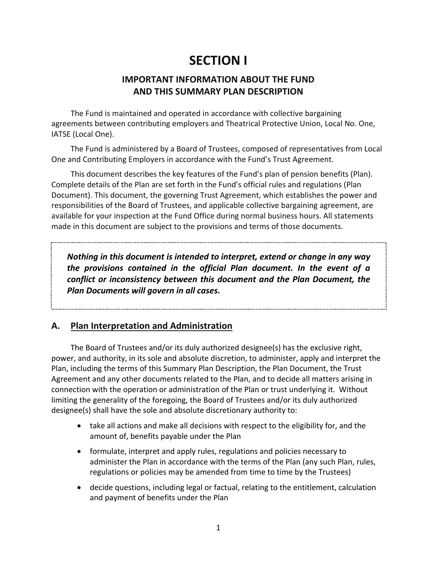# **SECTION I**

### **IMPORTANT INFORMATION ABOUT THE FUND AND THIS SUMMARY PLAN DESCRIPTION**

The Fund is maintained and operated in accordance with collective bargaining agreements between contributing employers and Theatrical Protective Union, Local No. One, IATSE (Local One).

The Fund is administered by a Board of Trustees, composed of representatives from Local One and Contributing Employers in accordance with the Fund's Trust Agreement.

This document describes the key features of the Fund's plan of pension benefits (Plan). Complete details of the Plan are set forth in the Fund's official rules and regulations (Plan Document). This document, the governing Trust Agreement, which establishes the power and responsibilities of the Board of Trustees, and applicable collective bargaining agreement, are available for your inspection at the Fund Office during normal business hours. All statements made in this document are subject to the provisions and terms of those documents.

*Nothing in this document is intended to interpret, extend or change in any way the provisions contained in the official Plan document. In the event of a conflict or inconsistency between this document and the Plan Document, the Plan Documents will govern in all cases.*

### **A. Plan Interpretation and Administration**

The Board of Trustees and/or its duly authorized designee(s) has the exclusive right, power, and authority, in its sole and absolute discretion, to administer, apply and interpret the Plan, including the terms of this Summary Plan Description, the Plan Document, the Trust Agreement and any other documents related to the Plan, and to decide all matters arising in connection with the operation or administration of the Plan or trust underlying it. Without limiting the generality of the foregoing, the Board of Trustees and/or its duly authorized designee(s) shall have the sole and absolute discretionary authority to:

- take all actions and make all decisions with respect to the eligibility for, and the amount of, benefits payable under the Plan
- formulate, interpret and apply rules, regulations and policies necessary to administer the Plan in accordance with the terms of the Plan (any such Plan, rules, regulations or policies may be amended from time to time by the Trustees)
- decide questions, including legal or factual, relating to the entitlement, calculation and payment of benefits under the Plan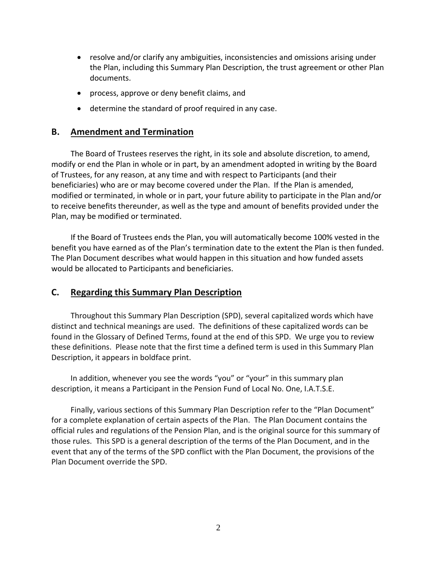- resolve and/or clarify any ambiguities, inconsistencies and omissions arising under the Plan, including this Summary Plan Description, the trust agreement or other Plan documents.
- process, approve or deny benefit claims, and
- determine the standard of proof required in any case.

#### **B. Amendment and Termination**

The Board of Trustees reserves the right, in its sole and absolute discretion, to amend, modify or end the Plan in whole or in part, by an amendment adopted in writing by the Board of Trustees, for any reason, at any time and with respect to Participants (and their beneficiaries) who are or may become covered under the Plan. If the Plan is amended, modified or terminated, in whole or in part, your future ability to participate in the Plan and/or to receive benefits thereunder, as well as the type and amount of benefits provided under the Plan, may be modified or terminated.

If the Board of Trustees ends the Plan, you will automatically become 100% vested in the benefit you have earned as of the Plan's termination date to the extent the Plan is then funded. The Plan Document describes what would happen in this situation and how funded assets would be allocated to Participants and beneficiaries.

#### **C. Regarding this Summary Plan Description**

Throughout this Summary Plan Description (SPD), several capitalized words which have distinct and technical meanings are used. The definitions of these capitalized words can be found in the Glossary of Defined Terms, found at the end of this SPD. We urge you to review these definitions. Please note that the first time a defined term is used in this Summary Plan Description, it appears in boldface print.

In addition, whenever you see the words "you" or "your" in this summary plan description, it means a Participant in the Pension Fund of Local No. One, I.A.T.S.E.

Finally, various sections of this Summary Plan Description refer to the "Plan Document" for a complete explanation of certain aspects of the Plan. The Plan Document contains the official rules and regulations of the Pension Plan, and is the original source for this summary of those rules. This SPD is a general description of the terms of the Plan Document, and in the event that any of the terms of the SPD conflict with the Plan Document, the provisions of the Plan Document override the SPD.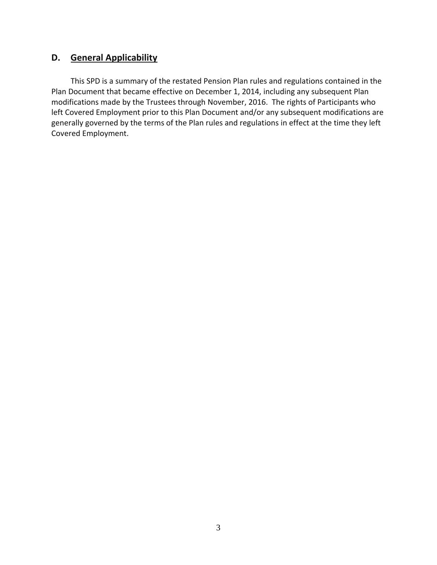#### **D. General Applicability**

This SPD is a summary of the restated Pension Plan rules and regulations contained in the Plan Document that became effective on December 1, 2014, including any subsequent Plan modifications made by the Trustees through November, 2016. The rights of Participants who left Covered Employment prior to this Plan Document and/or any subsequent modifications are generally governed by the terms of the Plan rules and regulations in effect at the time they left Covered Employment.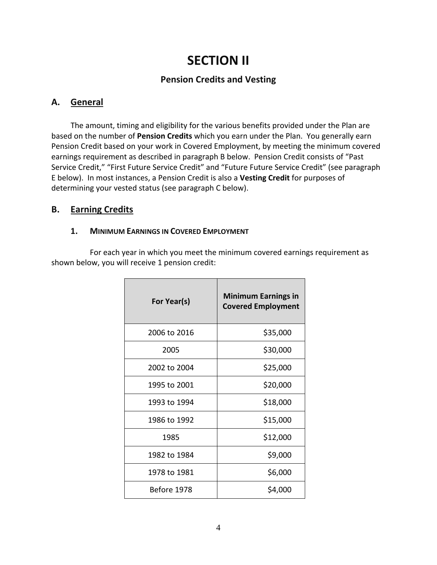# **SECTION II**

#### **Pension Credits and Vesting**

#### **A. General**

The amount, timing and eligibility for the various benefits provided under the Plan are based on the number of **Pension Credits** which you earn under the Plan. You generally earn Pension Credit based on your work in Covered Employment, by meeting the minimum covered earnings requirement as described in paragraph B below. Pension Credit consists of "Past Service Credit," "First Future Service Credit" and "Future Future Service Credit" (see paragraph E below). In most instances, a Pension Credit is also a **Vesting Credit** for purposes of determining your vested status (see paragraph C below).

#### **B. Earning Credits**

#### **1. MINIMUM EARNINGS IN COVERED EMPLOYMENT**

 For each year in which you meet the minimum covered earnings requirement as shown below, you will receive 1 pension credit:

| For Year(s)  | <b>Minimum Earnings in</b><br><b>Covered Employment</b> |
|--------------|---------------------------------------------------------|
| 2006 to 2016 | \$35,000                                                |
| 2005         | \$30,000                                                |
| 2002 to 2004 | \$25,000                                                |
| 1995 to 2001 | \$20,000                                                |
| 1993 to 1994 | \$18,000                                                |
| 1986 to 1992 | \$15,000                                                |
| 1985         | \$12,000                                                |
| 1982 to 1984 | \$9,000                                                 |
| 1978 to 1981 | \$6,000                                                 |
| Before 1978  | \$4,000                                                 |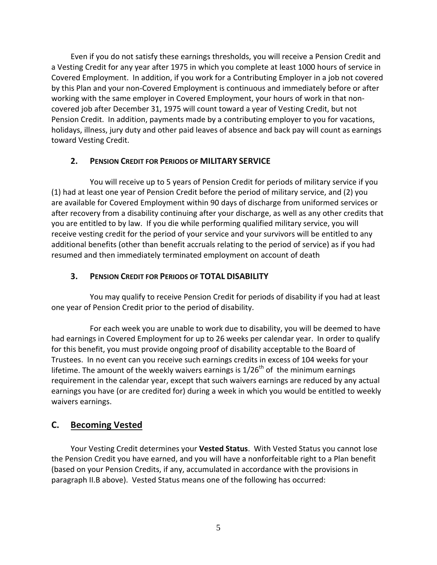Even if you do not satisfy these earnings thresholds, you will receive a Pension Credit and a Vesting Credit for any year after 1975 in which you complete at least 1000 hours of service in Covered Employment. In addition, if you work for a Contributing Employer in a job not covered by this Plan and your non‐Covered Employment is continuous and immediately before or after working with the same employer in Covered Employment, your hours of work in that non‐ covered job after December 31, 1975 will count toward a year of Vesting Credit, but not Pension Credit. In addition, payments made by a contributing employer to you for vacations, holidays, illness, jury duty and other paid leaves of absence and back pay will count as earnings toward Vesting Credit.

#### **2. PENSION CREDIT FOR PERIODS OF MILITARY SERVICE**

 You will receive up to 5 years of Pension Credit for periods of military service if you (1) had at least one year of Pension Credit before the period of military service, and (2) you are available for Covered Employment within 90 days of discharge from uniformed services or after recovery from a disability continuing after your discharge, as well as any other credits that you are entitled to by law. If you die while performing qualified military service, you will receive vesting credit for the period of your service and your survivors will be entitled to any additional benefits (other than benefit accruals relating to the period of service) as if you had resumed and then immediately terminated employment on account of death

#### **3. PENSION CREDIT FOR PERIODS OF TOTAL DISABILITY**

 You may qualify to receive Pension Credit for periods of disability if you had at least one year of Pension Credit prior to the period of disability.

 For each week you are unable to work due to disability, you will be deemed to have had earnings in Covered Employment for up to 26 weeks per calendar year. In order to qualify for this benefit, you must provide ongoing proof of disability acceptable to the Board of Trustees. In no event can you receive such earnings credits in excess of 104 weeks for your lifetime. The amount of the weekly waivers earnings is  $1/26<sup>th</sup>$  of the minimum earnings requirement in the calendar year, except that such waivers earnings are reduced by any actual earnings you have (or are credited for) during a week in which you would be entitled to weekly waivers earnings.

### **C. Becoming Vested**

Your Vesting Credit determines your **Vested Status**. With Vested Status you cannot lose the Pension Credit you have earned, and you will have a nonforfeitable right to a Plan benefit (based on your Pension Credits, if any, accumulated in accordance with the provisions in paragraph II.B above). Vested Status means one of the following has occurred: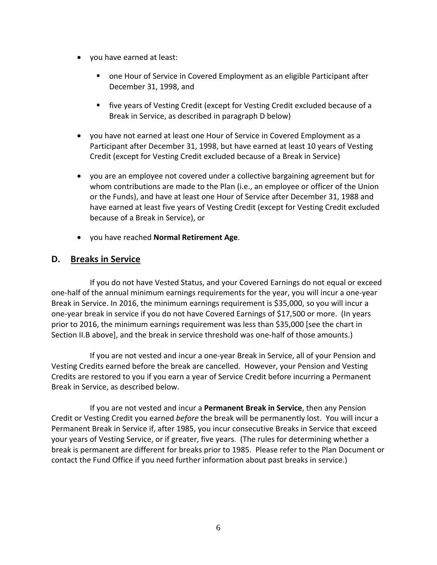- you have earned at least:
	- one Hour of Service in Covered Employment as an eligible Participant after December 31, 1998, and
	- **Five years of Vesting Credit (except for Vesting Credit excluded because of a** Break in Service, as described in paragraph D below)
- you have not earned at least one Hour of Service in Covered Employment as a Participant after December 31, 1998, but have earned at least 10 years of Vesting Credit (except for Vesting Credit excluded because of a Break in Service)
- you are an employee not covered under a collective bargaining agreement but for whom contributions are made to the Plan (i.e., an employee or officer of the Union or the Funds), and have at least one Hour of Service after December 31, 1988 and have earned at least five years of Vesting Credit (except for Vesting Credit excluded because of a Break in Service), or
- you have reached **Normal Retirement Age**.

#### **D. Breaks in Service**

 If you do not have Vested Status, and your Covered Earnings do not equal or exceed one‐half of the annual minimum earnings requirements for the year, you will incur a one‐year Break in Service. In 2016, the minimum earnings requirement is \$35,000, so you will incur a one‐year break in service if you do not have Covered Earnings of \$17,500 or more. (In years prior to 2016, the minimum earnings requirement was less than \$35,000 [see the chart in Section II.B above], and the break in service threshold was one-half of those amounts.)

 If you are not vested and incur a one‐year Break in Service, all of your Pension and Vesting Credits earned before the break are cancelled. However, your Pension and Vesting Credits are restored to you if you earn a year of Service Credit before incurring a Permanent Break in Service, as described below.

 If you are not vested and incur a **Permanent Break in Service**, then any Pension Credit or Vesting Credit you earned *before* the break will be permanently lost. You will incur a Permanent Break in Service if, after 1985, you incur consecutive Breaks in Service that exceed your years of Vesting Service, or if greater, five years. (The rules for determining whether a break is permanent are different for breaks prior to 1985. Please refer to the Plan Document or contact the Fund Office if you need further information about past breaks in service.)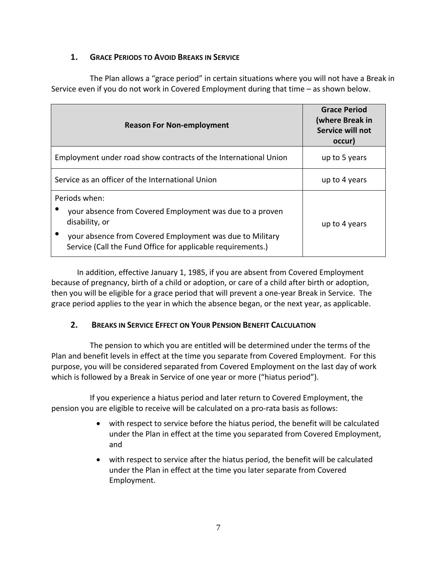#### **1. GRACE PERIODS TO AVOID BREAKS IN SERVICE**

 The Plan allows a "grace period" in certain situations where you will not have a Break in Service even if you do not work in Covered Employment during that time – as shown below.

| <b>Reason For Non-employment</b>                                                                                        | <b>Grace Period</b><br>(where Break in<br>Service will not<br>occur) |
|-------------------------------------------------------------------------------------------------------------------------|----------------------------------------------------------------------|
| Employment under road show contracts of the International Union                                                         | up to 5 years                                                        |
| Service as an officer of the International Union                                                                        | up to 4 years                                                        |
| Periods when:                                                                                                           |                                                                      |
| your absence from Covered Employment was due to a proven<br>disability, or                                              | up to 4 years                                                        |
| your absence from Covered Employment was due to Military<br>Service (Call the Fund Office for applicable requirements.) |                                                                      |

In addition, effective January 1, 1985, if you are absent from Covered Employment because of pregnancy, birth of a child or adoption, or care of a child after birth or adoption, then you will be eligible for a grace period that will prevent a one‐year Break in Service. The grace period applies to the year in which the absence began, or the next year, as applicable.

#### **2. BREAKS IN SERVICE EFFECT ON YOUR PENSION BENEFIT CALCULATION**

 The pension to which you are entitled will be determined under the terms of the Plan and benefit levels in effect at the time you separate from Covered Employment. For this purpose, you will be considered separated from Covered Employment on the last day of work which is followed by a Break in Service of one year or more ("hiatus period").

 If you experience a hiatus period and later return to Covered Employment, the pension you are eligible to receive will be calculated on a pro-rata basis as follows:

- with respect to service before the hiatus period, the benefit will be calculated under the Plan in effect at the time you separated from Covered Employment, and
- with respect to service after the hiatus period, the benefit will be calculated under the Plan in effect at the time you later separate from Covered Employment.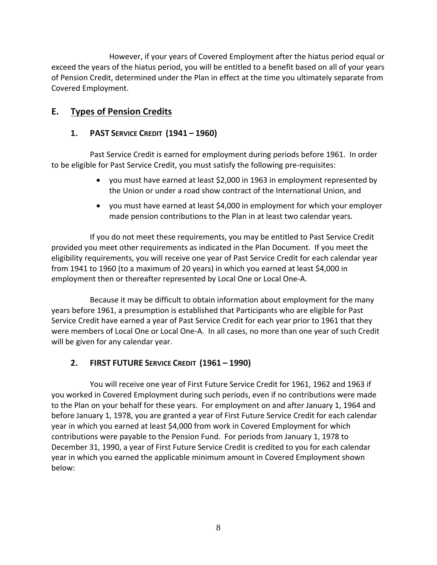However, if your years of Covered Employment after the hiatus period equal or exceed the years of the hiatus period, you will be entitled to a benefit based on all of your years of Pension Credit, determined under the Plan in effect at the time you ultimately separate from Covered Employment.

### **E. Types of Pension Credits**

#### **1. PAST SERVICE CREDIT (1941 – 1960)**

 Past Service Credit is earned for employment during periods before 1961. In order to be eligible for Past Service Credit, you must satisfy the following pre‐requisites:

- you must have earned at least \$2,000 in 1963 in employment represented by the Union or under a road show contract of the International Union, and
- you must have earned at least \$4,000 in employment for which your employer made pension contributions to the Plan in at least two calendar years.

 If you do not meet these requirements, you may be entitled to Past Service Credit provided you meet other requirements as indicated in the Plan Document. If you meet the eligibility requirements, you will receive one year of Past Service Credit for each calendar year from 1941 to 1960 (to a maximum of 20 years) in which you earned at least \$4,000 in employment then or thereafter represented by Local One or Local One‐A.

 Because it may be difficult to obtain information about employment for the many years before 1961, a presumption is established that Participants who are eligible for Past Service Credit have earned a year of Past Service Credit for each year prior to 1961 that they were members of Local One or Local One‐A. In all cases, no more than one year of such Credit will be given for any calendar year.

#### **2. FIRST FUTURE SERVICE CREDIT (1961 – 1990)**

 You will receive one year of First Future Service Credit for 1961, 1962 and 1963 if you worked in Covered Employment during such periods, even if no contributions were made to the Plan on your behalf for these years. For employment on and after January 1, 1964 and before January 1, 1978, you are granted a year of First Future Service Credit for each calendar year in which you earned at least \$4,000 from work in Covered Employment for which contributions were payable to the Pension Fund. For periods from January 1, 1978 to December 31, 1990, a year of First Future Service Credit is credited to you for each calendar year in which you earned the applicable minimum amount in Covered Employment shown below: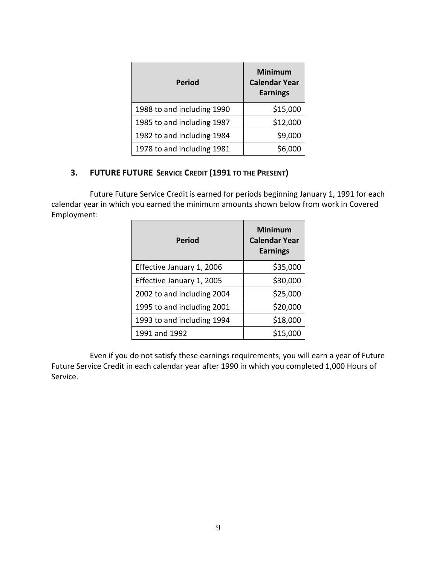| <b>Period</b>              | Minimum<br><b>Calendar Year</b><br><b>Earnings</b> |
|----------------------------|----------------------------------------------------|
| 1988 to and including 1990 | \$15,000                                           |
| 1985 to and including 1987 | \$12,000                                           |
| 1982 to and including 1984 | \$9,000                                            |
| 1978 to and including 1981 | \$6,000                                            |

#### **3. FUTURE FUTURE SERVICE CREDIT (1991 TO THE PRESENT)**

 Future Future Service Credit is earned for periods beginning January 1, 1991 for each calendar year in which you earned the minimum amounts shown below from work in Covered Employment:

| Period                     | Minimum<br><b>Calendar Year</b><br><b>Earnings</b> |
|----------------------------|----------------------------------------------------|
| Effective January 1, 2006  | \$35,000                                           |
| Effective January 1, 2005  | \$30,000                                           |
| 2002 to and including 2004 | \$25,000                                           |
| 1995 to and including 2001 | \$20,000                                           |
| 1993 to and including 1994 | \$18,000                                           |
| 1991 and 1992              | \$15,000                                           |

 Even if you do not satisfy these earnings requirements, you will earn a year of Future Future Service Credit in each calendar year after 1990 in which you completed 1,000 Hours of Service.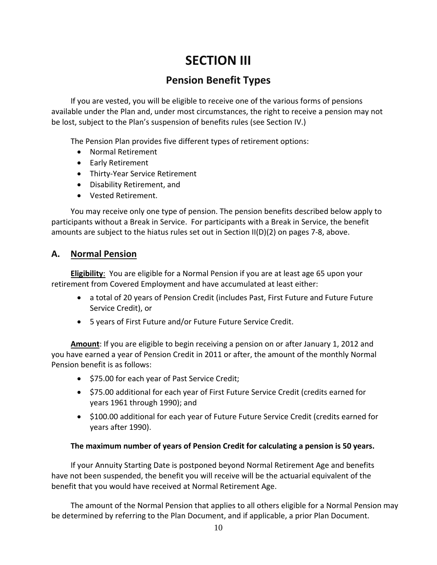# **SECTION III**

### **Pension Benefit Types**

If you are vested, you will be eligible to receive one of the various forms of pensions available under the Plan and, under most circumstances, the right to receive a pension may not be lost, subject to the Plan's suspension of benefits rules (see Section IV.)

The Pension Plan provides five different types of retirement options:

- Normal Retirement
- Early Retirement
- Thirty-Year Service Retirement
- Disability Retirement, and
- Vested Retirement.

You may receive only one type of pension. The pension benefits described below apply to participants without a Break in Service. For participants with a Break in Service, the benefit amounts are subject to the hiatus rules set out in Section II(D)(2) on pages 7‐8, above.

#### **A. Normal Pension**

**Eligibility**: You are eligible for a Normal Pension if you are at least age 65 upon your retirement from Covered Employment and have accumulated at least either:

- a total of 20 years of Pension Credit (includes Past, First Future and Future Future Service Credit), or
- 5 years of First Future and/or Future Future Service Credit.

**Amount**: If you are eligible to begin receiving a pension on or after January 1, 2012 and you have earned a year of Pension Credit in 2011 or after, the amount of the monthly Normal Pension benefit is as follows:

- \$75.00 for each year of Past Service Credit;
- \$75.00 additional for each year of First Future Service Credit (credits earned for years 1961 through 1990); and
- \$100.00 additional for each year of Future Future Service Credit (credits earned for years after 1990).

#### **The maximum number of years of Pension Credit for calculating a pension is 50 years.**

If your Annuity Starting Date is postponed beyond Normal Retirement Age and benefits have not been suspended, the benefit you will receive will be the actuarial equivalent of the benefit that you would have received at Normal Retirement Age.

The amount of the Normal Pension that applies to all others eligible for a Normal Pension may be determined by referring to the Plan Document, and if applicable, a prior Plan Document.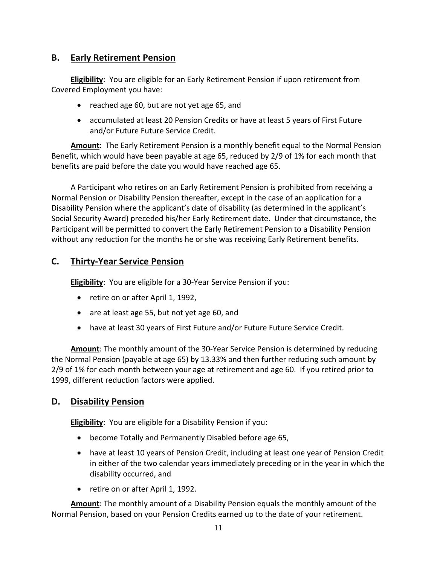#### **B. Early Retirement Pension**

**Eligibility**: You are eligible for an Early Retirement Pension if upon retirement from Covered Employment you have:

- reached age 60, but are not yet age 65, and
- accumulated at least 20 Pension Credits or have at least 5 years of First Future and/or Future Future Service Credit.

**Amount**: The Early Retirement Pension is a monthly benefit equal to the Normal Pension Benefit, which would have been payable at age 65, reduced by 2/9 of 1% for each month that benefits are paid before the date you would have reached age 65.

A Participant who retires on an Early Retirement Pension is prohibited from receiving a Normal Pension or Disability Pension thereafter, except in the case of an application for a Disability Pension where the applicant's date of disability (as determined in the applicant's Social Security Award) preceded his/her Early Retirement date. Under that circumstance, the Participant will be permitted to convert the Early Retirement Pension to a Disability Pension without any reduction for the months he or she was receiving Early Retirement benefits.

### **C. Thirty‐Year Service Pension**

**Eligibility**: You are eligible for a 30‐Year Service Pension if you:

- retire on or after April 1, 1992,
- are at least age 55, but not yet age 60, and
- have at least 30 years of First Future and/or Future Future Service Credit.

**Amount**: The monthly amount of the 30‐Year Service Pension is determined by reducing the Normal Pension (payable at age 65) by 13.33% and then further reducing such amount by 2/9 of 1% for each month between your age at retirement and age 60. If you retired prior to 1999, different reduction factors were applied.

#### **D. Disability Pension**

**Eligibility**: You are eligible for a Disability Pension if you:

- become Totally and Permanently Disabled before age 65,
- have at least 10 years of Pension Credit, including at least one year of Pension Credit in either of the two calendar years immediately preceding or in the year in which the disability occurred, and
- retire on or after April 1, 1992.

**Amount**: The monthly amount of a Disability Pension equals the monthly amount of the Normal Pension, based on your Pension Credits earned up to the date of your retirement.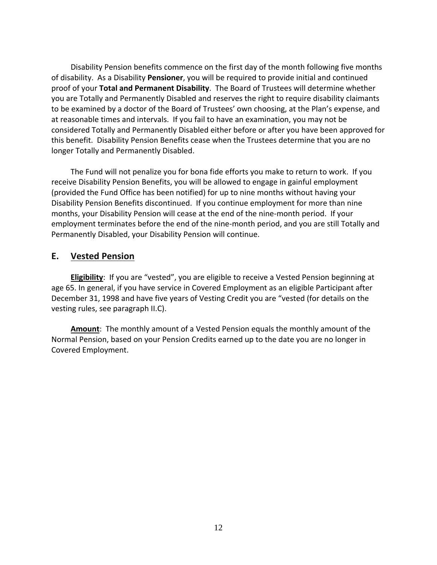Disability Pension benefits commence on the first day of the month following five months of disability. As a Disability **Pensioner**, you will be required to provide initial and continued proof of your **Total and Permanent Disability**. The Board of Trustees will determine whether you are Totally and Permanently Disabled and reserves the right to require disability claimants to be examined by a doctor of the Board of Trustees' own choosing, at the Plan's expense, and at reasonable times and intervals. If you fail to have an examination, you may not be considered Totally and Permanently Disabled either before or after you have been approved for this benefit. Disability Pension Benefits cease when the Trustees determine that you are no longer Totally and Permanently Disabled.

The Fund will not penalize you for bona fide efforts you make to return to work. If you receive Disability Pension Benefits, you will be allowed to engage in gainful employment (provided the Fund Office has been notified) for up to nine months without having your Disability Pension Benefits discontinued. If you continue employment for more than nine months, your Disability Pension will cease at the end of the nine-month period. If your employment terminates before the end of the nine‐month period, and you are still Totally and Permanently Disabled, your Disability Pension will continue.

#### **E. Vested Pension**

**Eligibility**: If you are "vested", you are eligible to receive a Vested Pension beginning at age 65. In general, if you have service in Covered Employment as an eligible Participant after December 31, 1998 and have five years of Vesting Credit you are "vested (for details on the vesting rules, see paragraph II.C).

**Amount**: The monthly amount of a Vested Pension equals the monthly amount of the Normal Pension, based on your Pension Credits earned up to the date you are no longer in Covered Employment.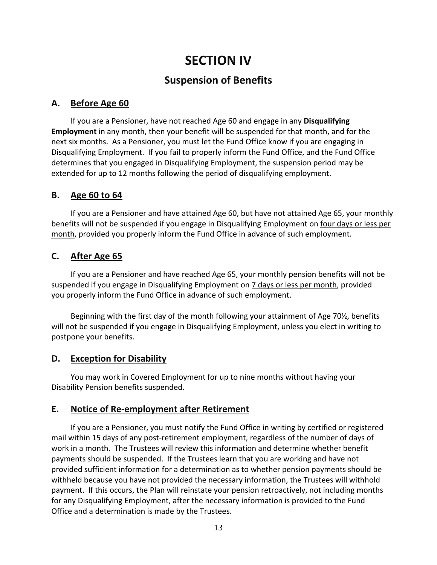# **SECTION IV**

### **Suspension of Benefits**

#### **A. Before Age 60**

If you are a Pensioner, have not reached Age 60 and engage in any **Disqualifying Employment** in any month, then your benefit will be suspended for that month, and for the next six months. As a Pensioner, you must let the Fund Office know if you are engaging in Disqualifying Employment. If you fail to properly inform the Fund Office, and the Fund Office determines that you engaged in Disqualifying Employment, the suspension period may be extended for up to 12 months following the period of disqualifying employment.

#### **B. Age 60 to 64**

If you are a Pensioner and have attained Age 60, but have not attained Age 65, your monthly benefits will not be suspended if you engage in Disqualifying Employment on four days or less per month, provided you properly inform the Fund Office in advance of such employment.

### **C. After Age 65**

If you are a Pensioner and have reached Age 65, your monthly pension benefits will not be suspended if you engage in Disqualifying Employment on 7 days or less per month, provided you properly inform the Fund Office in advance of such employment.

Beginning with the first day of the month following your attainment of Age 70½, benefits will not be suspended if you engage in Disqualifying Employment, unless you elect in writing to postpone your benefits.

### **D. Exception for Disability**

You may work in Covered Employment for up to nine months without having your Disability Pension benefits suspended.

### **E. Notice of Re‐employment after Retirement**

If you are a Pensioner, you must notify the Fund Office in writing by certified or registered mail within 15 days of any post‐retirement employment, regardless of the number of days of work in a month. The Trustees will review this information and determine whether benefit payments should be suspended. If the Trustees learn that you are working and have not provided sufficient information for a determination as to whether pension payments should be withheld because you have not provided the necessary information, the Trustees will withhold payment. If this occurs, the Plan will reinstate your pension retroactively, not including months for any Disqualifying Employment, after the necessary information is provided to the Fund Office and a determination is made by the Trustees.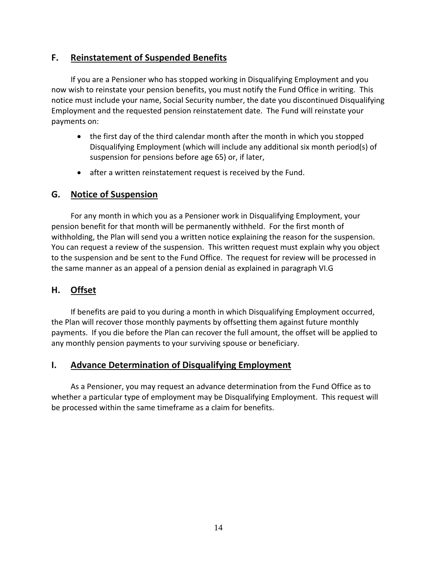### **F. Reinstatement of Suspended Benefits**

If you are a Pensioner who has stopped working in Disqualifying Employment and you now wish to reinstate your pension benefits, you must notify the Fund Office in writing. This notice must include your name, Social Security number, the date you discontinued Disqualifying Employment and the requested pension reinstatement date. The Fund will reinstate your payments on:

- the first day of the third calendar month after the month in which you stopped Disqualifying Employment (which will include any additional six month period(s) of suspension for pensions before age 65) or, if later,
- after a written reinstatement request is received by the Fund.

### **G. Notice of Suspension**

For any month in which you as a Pensioner work in Disqualifying Employment, your pension benefit for that month will be permanently withheld. For the first month of withholding, the Plan will send you a written notice explaining the reason for the suspension. You can request a review of the suspension. This written request must explain why you object to the suspension and be sent to the Fund Office. The request for review will be processed in the same manner as an appeal of a pension denial as explained in paragraph VI.G

### **H. Offset**

If benefits are paid to you during a month in which Disqualifying Employment occurred, the Plan will recover those monthly payments by offsetting them against future monthly payments. If you die before the Plan can recover the full amount, the offset will be applied to any monthly pension payments to your surviving spouse or beneficiary.

#### **I. Advance Determination of Disqualifying Employment**

As a Pensioner, you may request an advance determination from the Fund Office as to whether a particular type of employment may be Disqualifying Employment. This request will be processed within the same timeframe as a claim for benefits.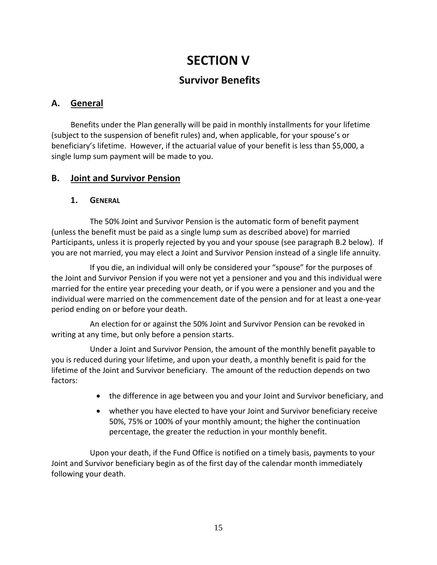# **SECTION V**

### **Survivor Benefits**

#### **A. General**

Benefits under the Plan generally will be paid in monthly installments for your lifetime (subject to the suspension of benefit rules) and, when applicable, for your spouse's or beneficiary's lifetime. However, if the actuarial value of your benefit is less than \$5,000, a single lump sum payment will be made to you.

#### **B. Joint and Survivor Pension**

#### **1. GENERAL**

 The 50% Joint and Survivor Pension is the automatic form of benefit payment (unless the benefit must be paid as a single lump sum as described above) for married Participants, unless it is properly rejected by you and your spouse (see paragraph B.2 below). If you are not married, you may elect a Joint and Survivor Pension instead of a single life annuity.

 If you die, an individual will only be considered your "spouse" for the purposes of the Joint and Survivor Pension if you were not yet a pensioner and you and this individual were married for the entire year preceding your death, or if you were a pensioner and you and the individual were married on the commencement date of the pension and for at least a one‐year period ending on or before your death.

 An election for or against the 50% Joint and Survivor Pension can be revoked in writing at any time, but only before a pension starts.

 Under a Joint and Survivor Pension, the amount of the monthly benefit payable to you is reduced during your lifetime, and upon your death, a monthly benefit is paid for the lifetime of the Joint and Survivor beneficiary. The amount of the reduction depends on two factors:

- the difference in age between you and your Joint and Survivor beneficiary, and
- whether you have elected to have your Joint and Survivor beneficiary receive 50%, 75% or 100% of your monthly amount; the higher the continuation percentage, the greater the reduction in your monthly benefit.

 Upon your death, if the Fund Office is notified on a timely basis, payments to your Joint and Survivor beneficiary begin as of the first day of the calendar month immediately following your death.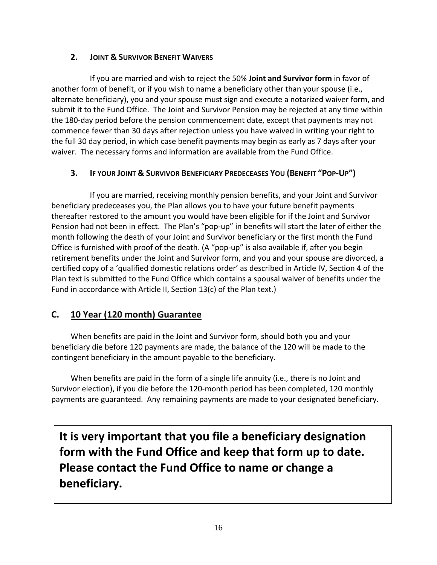#### **2. JOINT & SURVIVOR BENEFIT WAIVERS**

 If you are married and wish to reject the 50% **Joint and Survivor form** in favor of another form of benefit, or if you wish to name a beneficiary other than your spouse (i.e., alternate beneficiary), you and your spouse must sign and execute a notarized waiver form, and submit it to the Fund Office. The Joint and Survivor Pension may be rejected at any time within the 180‐day period before the pension commencement date, except that payments may not commence fewer than 30 days after rejection unless you have waived in writing your right to the full 30 day period, in which case benefit payments may begin as early as 7 days after your waiver. The necessary forms and information are available from the Fund Office.

#### **3. IF YOUR JOINT & SURVIVOR BENEFICIARY PREDECEASES YOU (BENEFIT "POP‐UP")**

 If you are married, receiving monthly pension benefits, and your Joint and Survivor beneficiary predeceases you, the Plan allows you to have your future benefit payments thereafter restored to the amount you would have been eligible for if the Joint and Survivor Pension had not been in effect. The Plan's "pop-up" in benefits will start the later of either the month following the death of your Joint and Survivor beneficiary or the first month the Fund Office is furnished with proof of the death. (A "pop‐up" is also available if, after you begin retirement benefits under the Joint and Survivor form, and you and your spouse are divorced, a certified copy of a 'qualified domestic relations order' as described in Article IV, Section 4 of the Plan text is submitted to the Fund Office which contains a spousal waiver of benefits under the Fund in accordance with Article II, Section 13(c) of the Plan text.)

### **C. 10 Year (120 month) Guarantee**

When benefits are paid in the Joint and Survivor form, should both you and your beneficiary die before 120 payments are made, the balance of the 120 will be made to the contingent beneficiary in the amount payable to the beneficiary.

When benefits are paid in the form of a single life annuity (i.e., there is no Joint and Survivor election), if you die before the 120‐month period has been completed, 120 monthly payments are guaranteed. Any remaining payments are made to your designated beneficiary.

**It is very important that you file a beneficiary designation form with the Fund Office and keep that form up to date. Please contact the Fund Office to name or change a beneficiary.**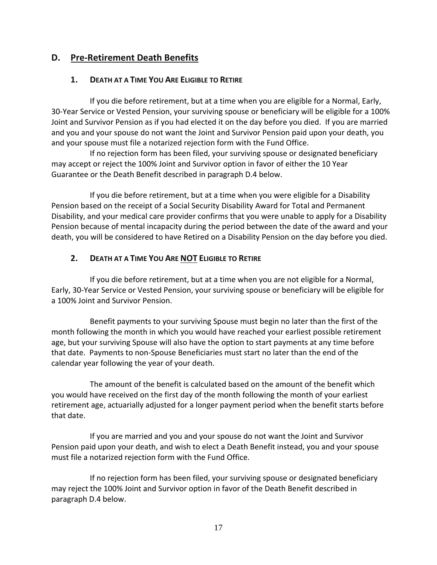### **D. Pre‐Retirement Death Benefits**

#### **1. DEATH AT A TIME YOU ARE ELIGIBLE TO RETIRE**

 If you die before retirement, but at a time when you are eligible for a Normal, Early, 30‐Year Service or Vested Pension, your surviving spouse or beneficiary will be eligible for a 100% Joint and Survivor Pension as if you had elected it on the day before you died. If you are married and you and your spouse do not want the Joint and Survivor Pension paid upon your death, you and your spouse must file a notarized rejection form with the Fund Office.

 If no rejection form has been filed, your surviving spouse or designated beneficiary may accept or reject the 100% Joint and Survivor option in favor of either the 10 Year Guarantee or the Death Benefit described in paragraph D.4 below.

 If you die before retirement, but at a time when you were eligible for a Disability Pension based on the receipt of a Social Security Disability Award for Total and Permanent Disability, and your medical care provider confirms that you were unable to apply for a Disability Pension because of mental incapacity during the period between the date of the award and your death, you will be considered to have Retired on a Disability Pension on the day before you died.

#### **2. DEATH AT A TIME YOU ARE NOT ELIGIBLE TO RETIRE**

 If you die before retirement, but at a time when you are not eligible for a Normal, Early, 30‐Year Service or Vested Pension, your surviving spouse or beneficiary will be eligible for a 100% Joint and Survivor Pension.

 Benefit payments to your surviving Spouse must begin no later than the first of the month following the month in which you would have reached your earliest possible retirement age, but your surviving Spouse will also have the option to start payments at any time before that date. Payments to non‐Spouse Beneficiaries must start no later than the end of the calendar year following the year of your death.

 The amount of the benefit is calculated based on the amount of the benefit which you would have received on the first day of the month following the month of your earliest retirement age, actuarially adjusted for a longer payment period when the benefit starts before that date.

 If you are married and you and your spouse do not want the Joint and Survivor Pension paid upon your death, and wish to elect a Death Benefit instead, you and your spouse must file a notarized rejection form with the Fund Office.

 If no rejection form has been filed, your surviving spouse or designated beneficiary may reject the 100% Joint and Survivor option in favor of the Death Benefit described in paragraph D.4 below.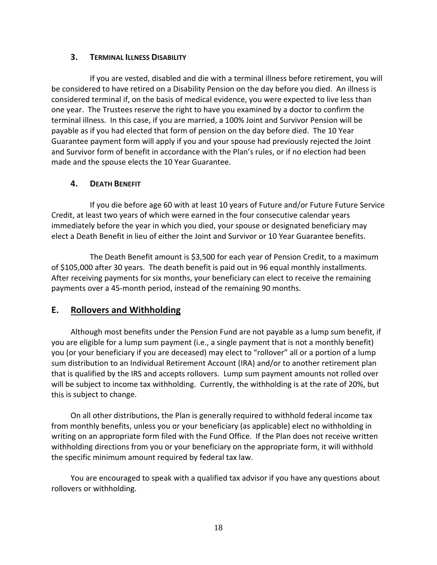#### **3. TERMINAL ILLNESS DISABILITY**

 If you are vested, disabled and die with a terminal illness before retirement, you will be considered to have retired on a Disability Pension on the day before you died. An illness is considered terminal if, on the basis of medical evidence, you were expected to live less than one year. The Trustees reserve the right to have you examined by a doctor to confirm the terminal illness. In this case, if you are married, a 100% Joint and Survivor Pension will be payable as if you had elected that form of pension on the day before died. The 10 Year Guarantee payment form will apply if you and your spouse had previously rejected the Joint and Survivor form of benefit in accordance with the Plan's rules, or if no election had been made and the spouse elects the 10 Year Guarantee.

#### **4. DEATH BENEFIT**

 If you die before age 60 with at least 10 years of Future and/or Future Future Service Credit, at least two years of which were earned in the four consecutive calendar years immediately before the year in which you died, your spouse or designated beneficiary may elect a Death Benefit in lieu of either the Joint and Survivor or 10 Year Guarantee benefits.

 The Death Benefit amount is \$3,500 for each year of Pension Credit, to a maximum of \$105,000 after 30 years. The death benefit is paid out in 96 equal monthly installments. After receiving payments for six months, your beneficiary can elect to receive the remaining payments over a 45‐month period, instead of the remaining 90 months.

#### **E. Rollovers and Withholding**

Although most benefits under the Pension Fund are not payable as a lump sum benefit, if you are eligible for a lump sum payment (i.e., a single payment that is not a monthly benefit) you (or your beneficiary if you are deceased) may elect to "rollover" all or a portion of a lump sum distribution to an Individual Retirement Account (IRA) and/or to another retirement plan that is qualified by the IRS and accepts rollovers. Lump sum payment amounts not rolled over will be subject to income tax withholding. Currently, the withholding is at the rate of 20%, but this is subject to change.

On all other distributions, the Plan is generally required to withhold federal income tax from monthly benefits, unless you or your beneficiary (as applicable) elect no withholding in writing on an appropriate form filed with the Fund Office. If the Plan does not receive written withholding directions from you or your beneficiary on the appropriate form, it will withhold the specific minimum amount required by federal tax law.

You are encouraged to speak with a qualified tax advisor if you have any questions about rollovers or withholding.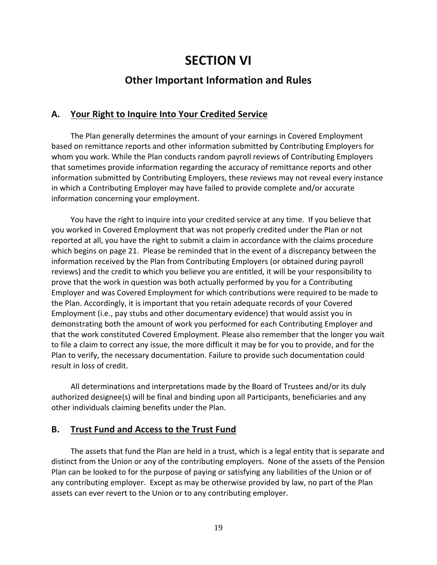# **SECTION VI**

### **Other Important Information and Rules**

#### **A. Your Right to Inquire Into Your Credited Service**

The Plan generally determines the amount of your earnings in Covered Employment based on remittance reports and other information submitted by Contributing Employers for whom you work. While the Plan conducts random payroll reviews of Contributing Employers that sometimes provide information regarding the accuracy of remittance reports and other information submitted by Contributing Employers, these reviews may not reveal every instance in which a Contributing Employer may have failed to provide complete and/or accurate information concerning your employment.

You have the right to inquire into your credited service at any time. If you believe that you worked in Covered Employment that was not properly credited under the Plan or not reported at all, you have the right to submit a claim in accordance with the claims procedure which begins on page 21. Please be reminded that in the event of a discrepancy between the information received by the Plan from Contributing Employers (or obtained during payroll reviews) and the credit to which you believe you are entitled, it will be your responsibility to prove that the work in question was both actually performed by you for a Contributing Employer and was Covered Employment for which contributions were required to be made to the Plan. Accordingly, it is important that you retain adequate records of your Covered Employment (i.e., pay stubs and other documentary evidence) that would assist you in demonstrating both the amount of work you performed for each Contributing Employer and that the work constituted Covered Employment. Please also remember that the longer you wait to file a claim to correct any issue, the more difficult it may be for you to provide, and for the Plan to verify, the necessary documentation. Failure to provide such documentation could result in loss of credit.

All determinations and interpretations made by the Board of Trustees and/or its duly authorized designee(s) will be final and binding upon all Participants, beneficiaries and any other individuals claiming benefits under the Plan.

#### **B. Trust Fund and Access to the Trust Fund**

The assets that fund the Plan are held in a trust, which is a legal entity that is separate and distinct from the Union or any of the contributing employers. None of the assets of the Pension Plan can be looked to for the purpose of paying or satisfying any liabilities of the Union or of any contributing employer. Except as may be otherwise provided by law, no part of the Plan assets can ever revert to the Union or to any contributing employer.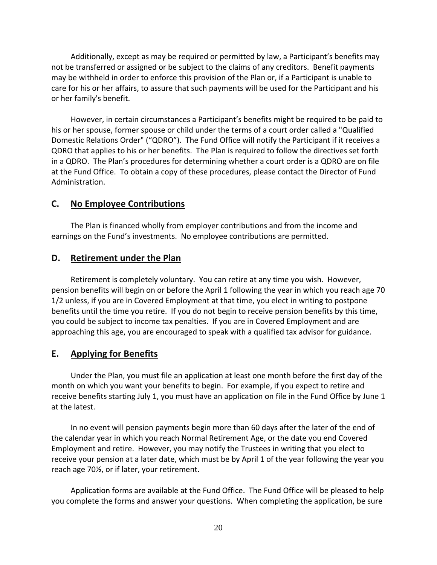Additionally, except as may be required or permitted by law, a Participant's benefits may not be transferred or assigned or be subject to the claims of any creditors. Benefit payments may be withheld in order to enforce this provision of the Plan or, if a Participant is unable to care for his or her affairs, to assure that such payments will be used for the Participant and his or her family's benefit.

However, in certain circumstances a Participant's benefits might be required to be paid to his or her spouse, former spouse or child under the terms of a court order called a "Qualified Domestic Relations Order" ("QDRO"). The Fund Office will notify the Participant if it receives a QDRO that applies to his or her benefits. The Plan is required to follow the directives set forth in a QDRO. The Plan's procedures for determining whether a court order is a QDRO are on file at the Fund Office. To obtain a copy of these procedures, please contact the Director of Fund Administration.

#### **C. No Employee Contributions**

The Plan is financed wholly from employer contributions and from the income and earnings on the Fund's investments. No employee contributions are permitted.

#### **D. Retirement under the Plan**

Retirement is completely voluntary. You can retire at any time you wish. However, pension benefits will begin on or before the April 1 following the year in which you reach age 70 1/2 unless, if you are in Covered Employment at that time, you elect in writing to postpone benefits until the time you retire. If you do not begin to receive pension benefits by this time, you could be subject to income tax penalties. If you are in Covered Employment and are approaching this age, you are encouraged to speak with a qualified tax advisor for guidance.

#### **E. Applying for Benefits**

Under the Plan, you must file an application at least one month before the first day of the month on which you want your benefits to begin. For example, if you expect to retire and receive benefits starting July 1, you must have an application on file in the Fund Office by June 1 at the latest.

In no event will pension payments begin more than 60 days after the later of the end of the calendar year in which you reach Normal Retirement Age, or the date you end Covered Employment and retire. However, you may notify the Trustees in writing that you elect to receive your pension at a later date, which must be by April 1 of the year following the year you reach age 70½, or if later, your retirement.

Application forms are available at the Fund Office. The Fund Office will be pleased to help you complete the forms and answer your questions. When completing the application, be sure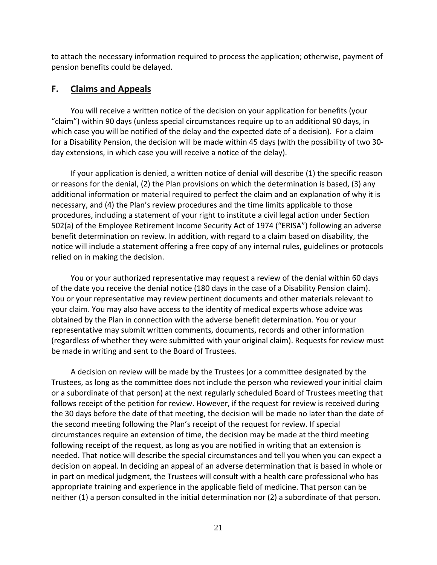to attach the necessary information required to process the application; otherwise, payment of pension benefits could be delayed.

#### **F. Claims and Appeals**

You will receive a written notice of the decision on your application for benefits (your "claim") within 90 days (unless special circumstances require up to an additional 90 days, in which case you will be notified of the delay and the expected date of a decision). For a claim for a Disability Pension, the decision will be made within 45 days (with the possibility of two 30‐ day extensions, in which case you will receive a notice of the delay).

If your application is denied, a written notice of denial will describe (1) the specific reason or reasons for the denial, (2) the Plan provisions on which the determination is based, (3) any additional information or material required to perfect the claim and an explanation of why it is necessary, and (4) the Plan's review procedures and the time limits applicable to those procedures, including a statement of your right to institute a civil legal action under Section 502(a) of the Employee Retirement Income Security Act of 1974 ("ERISA") following an adverse benefit determination on review. In addition, with regard to a claim based on disability, the notice will include a statement offering a free copy of any internal rules, guidelines or protocols relied on in making the decision.

You or your authorized representative may request a review of the denial within 60 days of the date you receive the denial notice (180 days in the case of a Disability Pension claim). You or your representative may review pertinent documents and other materials relevant to your claim. You may also have access to the identity of medical experts whose advice was obtained by the Plan in connection with the adverse benefit determination. You or your representative may submit written comments, documents, records and other information (regardless of whether they were submitted with your original claim). Requests for review must be made in writing and sent to the Board of Trustees.

A decision on review will be made by the Trustees (or a committee designated by the Trustees, as long as the committee does not include the person who reviewed your initial claim or a subordinate of that person) at the next regularly scheduled Board of Trustees meeting that follows receipt of the petition for review. However, if the request for review is received during the 30 days before the date of that meeting, the decision will be made no later than the date of the second meeting following the Plan's receipt of the request for review. If special circumstances require an extension of time, the decision may be made at the third meeting following receipt of the request, as long as you are notified in writing that an extension is needed. That notice will describe the special circumstances and tell you when you can expect a decision on appeal. In deciding an appeal of an adverse determination that is based in whole or in part on medical judgment, the Trustees will consult with a health care professional who has appropriate training and experience in the applicable field of medicine. That person can be neither (1) a person consulted in the initial determination nor (2) a subordinate of that person.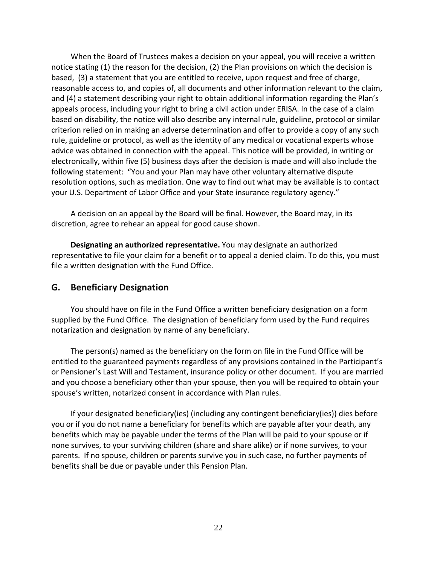When the Board of Trustees makes a decision on your appeal, you will receive a written notice stating (1) the reason for the decision, (2) the Plan provisions on which the decision is based, (3) a statement that you are entitled to receive, upon request and free of charge, reasonable access to, and copies of, all documents and other information relevant to the claim, and (4) a statement describing your right to obtain additional information regarding the Plan's appeals process, including your right to bring a civil action under ERISA. In the case of a claim based on disability, the notice will also describe any internal rule, guideline, protocol or similar criterion relied on in making an adverse determination and offer to provide a copy of any such rule, guideline or protocol, as well as the identity of any medical or vocational experts whose advice was obtained in connection with the appeal. This notice will be provided, in writing or electronically, within five (5) business days after the decision is made and will also include the following statement: "You and your Plan may have other voluntary alternative dispute resolution options, such as mediation. One way to find out what may be available is to contact your U.S. Department of Labor Office and your State insurance regulatory agency."

A decision on an appeal by the Board will be final. However, the Board may, in its discretion, agree to rehear an appeal for good cause shown.

**Designating an authorized representative.** You may designate an authorized representative to file your claim for a benefit or to appeal a denied claim. To do this, you must file a written designation with the Fund Office.

#### **G. Beneficiary Designation**

You should have on file in the Fund Office a written beneficiary designation on a form supplied by the Fund Office. The designation of beneficiary form used by the Fund requires notarization and designation by name of any beneficiary.

The person(s) named as the beneficiary on the form on file in the Fund Office will be entitled to the guaranteed payments regardless of any provisions contained in the Participant's or Pensioner's Last Will and Testament, insurance policy or other document. If you are married and you choose a beneficiary other than your spouse, then you will be required to obtain your spouse's written, notarized consent in accordance with Plan rules.

If your designated beneficiary(ies) (including any contingent beneficiary(ies)) dies before you or if you do not name a beneficiary for benefits which are payable after your death, any benefits which may be payable under the terms of the Plan will be paid to your spouse or if none survives, to your surviving children (share and share alike) or if none survives, to your parents. If no spouse, children or parents survive you in such case, no further payments of benefits shall be due or payable under this Pension Plan.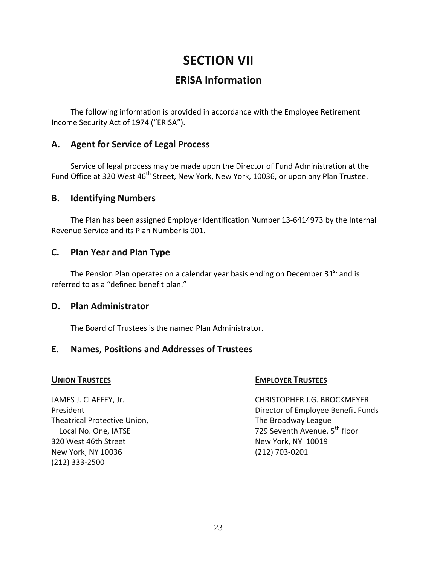# **SECTION VII**

### **ERISA Information**

The following information is provided in accordance with the Employee Retirement Income Security Act of 1974 ("ERISA").

#### **A. Agent for Service of Legal Process**

Service of legal process may be made upon the Director of Fund Administration at the Fund Office at 320 West 46<sup>th</sup> Street, New York, New York, 10036, or upon any Plan Trustee.

#### **B. Identifying Numbers**

The Plan has been assigned Employer Identification Number 13‐6414973 by the Internal Revenue Service and its Plan Number is 001.

#### **C. Plan Year and Plan Type**

The Pension Plan operates on a calendar year basis ending on December  $31<sup>st</sup>$  and is referred to as a "defined benefit plan."

#### **D. Plan Administrator**

The Board of Trustees is the named Plan Administrator.

#### **E. Names, Positions and Addresses of Trustees**

Theatrical Protective Union, The Broadway League 320 West 46th Street New York, NY 10019 New York, NY 10036 (212) 703‐0201 (212) 333‐2500

#### **UNION TRUSTEES EMPLOYER TRUSTEES**

JAMES J. CLAFFEY, Jr. CHRISTOPHER J.G. BROCKMEYER President **Director of Employee Benefit Funds** Local No. One, IATSE 729 Seventh Avenue, 5th floor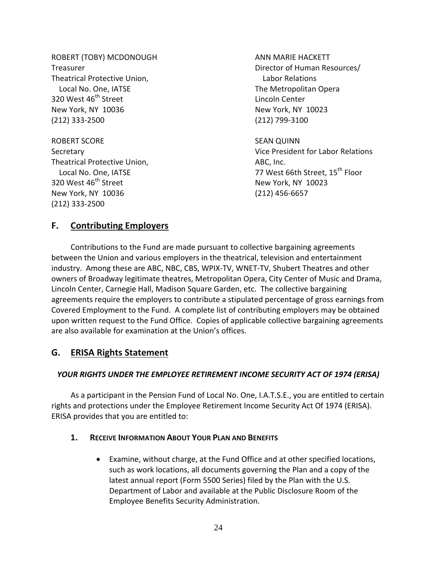ROBERT (TOBY) MCDONOUGH ANN MARIE HACKETT Theatrical Protective Union, Labor Relations Local No. One, IATSE The Metropolitan Opera 320 West 46<sup>th</sup> Street Lincoln Center New York, NY 10036 New York, NY 10023 (212) 333‐2500 (212) 799‐3100

ROBERT SCORE SEAN QUINN Theatrical Protective Union, Theatrical Protective Union, 320 West 46<sup>th</sup> Street New York, NY 10023 New York, NY 10036 (212) 456‐6657 (212) 333‐2500

Treasurer **Treasurer Community** Community Community Director of Human Resources/

Secretary **Secretary Vice President for Labor Relations** Local No. One, IATSE 77 West 66th Street, 15th Floor

#### **F. Contributing Employers**

Contributions to the Fund are made pursuant to collective bargaining agreements between the Union and various employers in the theatrical, television and entertainment industry. Among these are ABC, NBC, CBS, WPIX‐TV, WNET‐TV, Shubert Theatres and other owners of Broadway legitimate theatres, Metropolitan Opera, City Center of Music and Drama, Lincoln Center, Carnegie Hall, Madison Square Garden, etc. The collective bargaining agreements require the employers to contribute a stipulated percentage of gross earnings from Covered Employment to the Fund. A complete list of contributing employers may be obtained upon written request to the Fund Office. Copies of applicable collective bargaining agreements are also available for examination at the Union's offices.

#### **G. ERISA Rights Statement**

#### *YOUR RIGHTS UNDER THE EMPLOYEE RETIREMENT INCOME SECURITY ACT OF 1974 (ERISA)*

As a participant in the Pension Fund of Local No. One, I.A.T.S.E., you are entitled to certain rights and protections under the Employee Retirement Income Security Act Of 1974 (ERISA). ERISA provides that you are entitled to:

#### **1. RECEIVE INFORMATION ABOUT YOUR PLAN AND BENEFITS**

 Examine, without charge, at the Fund Office and at other specified locations, such as work locations, all documents governing the Plan and a copy of the latest annual report (Form 5500 Series) filed by the Plan with the U.S. Department of Labor and available at the Public Disclosure Room of the Employee Benefits Security Administration.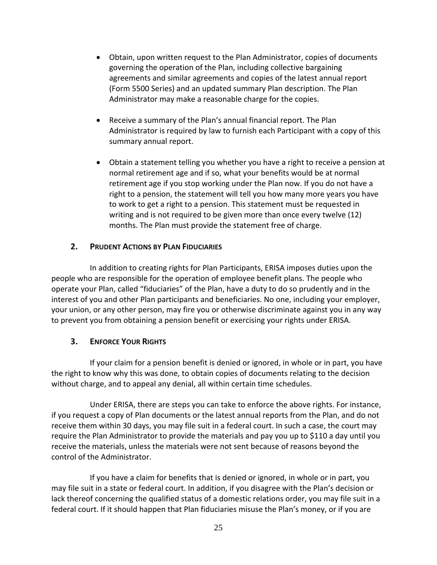- Obtain, upon written request to the Plan Administrator, copies of documents governing the operation of the Plan, including collective bargaining agreements and similar agreements and copies of the latest annual report (Form 5500 Series) and an updated summary Plan description. The Plan Administrator may make a reasonable charge for the copies.
- Receive a summary of the Plan's annual financial report. The Plan Administrator is required by law to furnish each Participant with a copy of this summary annual report.
- Obtain a statement telling you whether you have a right to receive a pension at normal retirement age and if so, what your benefits would be at normal retirement age if you stop working under the Plan now. If you do not have a right to a pension, the statement will tell you how many more years you have to work to get a right to a pension. This statement must be requested in writing and is not required to be given more than once every twelve (12) months. The Plan must provide the statement free of charge.

#### **2. PRUDENT ACTIONS BY PLAN FIDUCIARIES**

 In addition to creating rights for Plan Participants, ERISA imposes duties upon the people who are responsible for the operation of employee benefit plans. The people who operate your Plan, called "fiduciaries" of the Plan, have a duty to do so prudently and in the interest of you and other Plan participants and beneficiaries. No one, including your employer, your union, or any other person, may fire you or otherwise discriminate against you in any way to prevent you from obtaining a pension benefit or exercising your rights under ERISA.

#### **3. ENFORCE YOUR RIGHTS**

 If your claim for a pension benefit is denied or ignored, in whole or in part, you have the right to know why this was done, to obtain copies of documents relating to the decision without charge, and to appeal any denial, all within certain time schedules.

 Under ERISA, there are steps you can take to enforce the above rights. For instance, if you request a copy of Plan documents or the latest annual reports from the Plan, and do not receive them within 30 days, you may file suit in a federal court. In such a case, the court may require the Plan Administrator to provide the materials and pay you up to \$110 a day until you receive the materials, unless the materials were not sent because of reasons beyond the control of the Administrator.

 If you have a claim for benefits that is denied or ignored, in whole or in part, you may file suit in a state or federal court. In addition, if you disagree with the Plan's decision or lack thereof concerning the qualified status of a domestic relations order, you may file suit in a federal court. If it should happen that Plan fiduciaries misuse the Plan's money, or if you are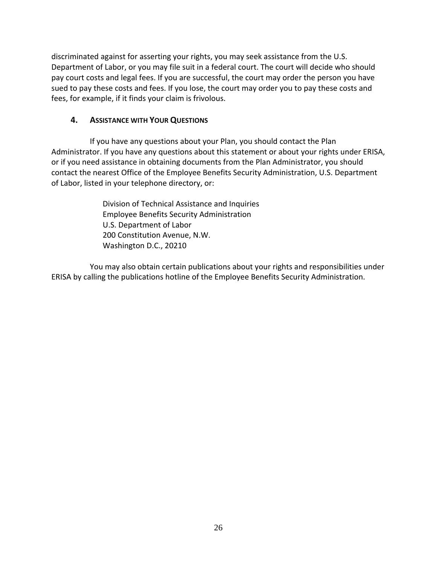discriminated against for asserting your rights, you may seek assistance from the U.S. Department of Labor, or you may file suit in a federal court. The court will decide who should pay court costs and legal fees. If you are successful, the court may order the person you have sued to pay these costs and fees. If you lose, the court may order you to pay these costs and fees, for example, if it finds your claim is frivolous.

#### **4. ASSISTANCE WITH YOUR QUESTIONS**

 If you have any questions about your Plan, you should contact the Plan Administrator. If you have any questions about this statement or about your rights under ERISA, or if you need assistance in obtaining documents from the Plan Administrator, you should contact the nearest Office of the Employee Benefits Security Administration, U.S. Department of Labor, listed in your telephone directory, or:

> Division of Technical Assistance and Inquiries Employee Benefits Security Administration U.S. Department of Labor 200 Constitution Avenue, N.W. Washington D.C., 20210

 You may also obtain certain publications about your rights and responsibilities under ERISA by calling the publications hotline of the Employee Benefits Security Administration.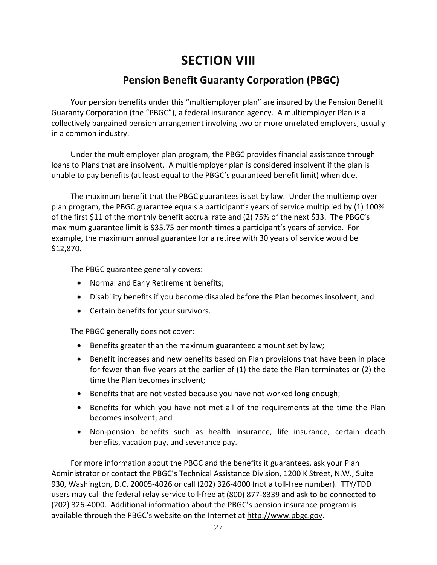# **SECTION VIII**

### **Pension Benefit Guaranty Corporation (PBGC)**

Your pension benefits under this "multiemployer plan" are insured by the Pension Benefit Guaranty Corporation (the "PBGC"), a federal insurance agency. A multiemployer Plan is a collectively bargained pension arrangement involving two or more unrelated employers, usually in a common industry.

Under the multiemployer plan program, the PBGC provides financial assistance through loans to Plans that are insolvent. A multiemployer plan is considered insolvent if the plan is unable to pay benefits (at least equal to the PBGC's guaranteed benefit limit) when due.

The maximum benefit that the PBGC guarantees is set by law. Under the multiemployer plan program, the PBGC guarantee equals a participant's years of service multiplied by (1) 100% of the first \$11 of the monthly benefit accrual rate and (2) 75% of the next \$33. The PBGC's maximum guarantee limit is \$35.75 per month times a participant's years of service. For example, the maximum annual guarantee for a retiree with 30 years of service would be \$12,870.

The PBGC guarantee generally covers:

- Normal and Early Retirement benefits;
- Disability benefits if you become disabled before the Plan becomes insolvent; and
- Certain benefits for your survivors.

The PBGC generally does not cover:

- Benefits greater than the maximum guaranteed amount set by law;
- Benefit increases and new benefits based on Plan provisions that have been in place for fewer than five years at the earlier of (1) the date the Plan terminates or (2) the time the Plan becomes insolvent;
- Benefits that are not vested because you have not worked long enough;
- Benefits for which you have not met all of the requirements at the time the Plan becomes insolvent; and
- Non‐pension benefits such as health insurance, life insurance, certain death benefits, vacation pay, and severance pay.

For more information about the PBGC and the benefits it guarantees, ask your Plan Administrator or contact the PBGC's Technical Assistance Division, 1200 K Street, N.W., Suite 930, Washington, D.C. 20005‐4026 or call (202) 326‐4000 (not a toll‐free number). TTY/TDD users may call the federal relay service toll-free at (800) 877-8339 and ask to be connected to (202) 326‐4000. Additional information about the PBGC's pension insurance program is available through the PBGC's website on the Internet at http://www.pbgc.gov.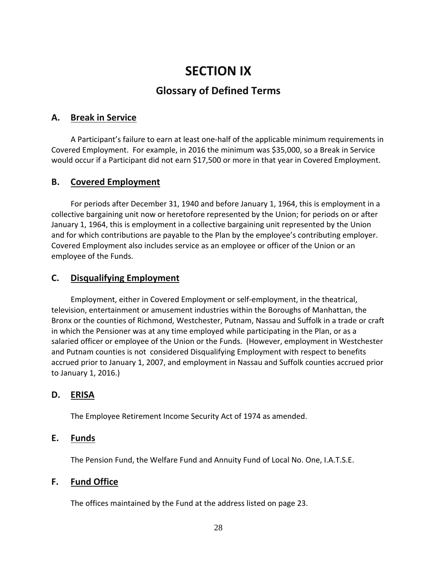# **SECTION IX**

### **Glossary of Defined Terms**

#### **A. Break in Service**

A Participant's failure to earn at least one‐half of the applicable minimum requirements in Covered Employment. For example, in 2016 the minimum was \$35,000, so a Break in Service would occur if a Participant did not earn \$17,500 or more in that year in Covered Employment.

#### **B. Covered Employment**

For periods after December 31, 1940 and before January 1, 1964, this is employment in a collective bargaining unit now or heretofore represented by the Union; for periods on or after January 1, 1964, this is employment in a collective bargaining unit represented by the Union and for which contributions are payable to the Plan by the employee's contributing employer. Covered Employment also includes service as an employee or officer of the Union or an employee of the Funds.

#### **C. Disqualifying Employment**

Employment, either in Covered Employment or self‐employment, in the theatrical, television, entertainment or amusement industries within the Boroughs of Manhattan, the Bronx or the counties of Richmond, Westchester, Putnam, Nassau and Suffolk in a trade or craft in which the Pensioner was at any time employed while participating in the Plan, or as a salaried officer or employee of the Union or the Funds. (However, employment in Westchester and Putnam counties is not considered Disqualifying Employment with respect to benefits accrued prior to January 1, 2007, and employment in Nassau and Suffolk counties accrued prior to January 1, 2016.)

#### **D. ERISA**

The Employee Retirement Income Security Act of 1974 as amended.

#### **E. Funds**

The Pension Fund, the Welfare Fund and Annuity Fund of Local No. One, I.A.T.S.E.

#### **F. Fund Office**

The offices maintained by the Fund at the address listed on page 23.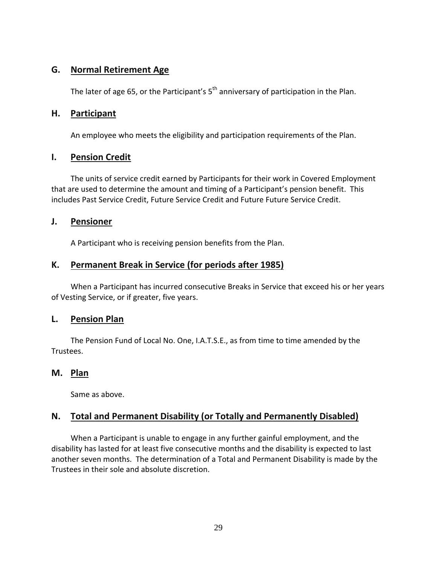#### **G. Normal Retirement Age**

The later of age 65, or the Participant's  $5<sup>th</sup>$  anniversary of participation in the Plan.

#### **H. Participant**

An employee who meets the eligibility and participation requirements of the Plan.

#### **I. Pension Credit**

The units of service credit earned by Participants for their work in Covered Employment that are used to determine the amount and timing of a Participant's pension benefit. This includes Past Service Credit, Future Service Credit and Future Future Service Credit.

#### **J. Pensioner**

A Participant who is receiving pension benefits from the Plan.

#### **K. Permanent Break in Service (for periods after 1985)**

When a Participant has incurred consecutive Breaks in Service that exceed his or her years of Vesting Service, or if greater, five years.

#### **L. Pension Plan**

The Pension Fund of Local No. One, I.A.T.S.E., as from time to time amended by the Trustees.

#### **M. Plan**

Same as above.

### **N. Total and Permanent Disability (or Totally and Permanently Disabled)**

When a Participant is unable to engage in any further gainful employment, and the disability has lasted for at least five consecutive months and the disability is expected to last another seven months. The determination of a Total and Permanent Disability is made by the Trustees in their sole and absolute discretion.